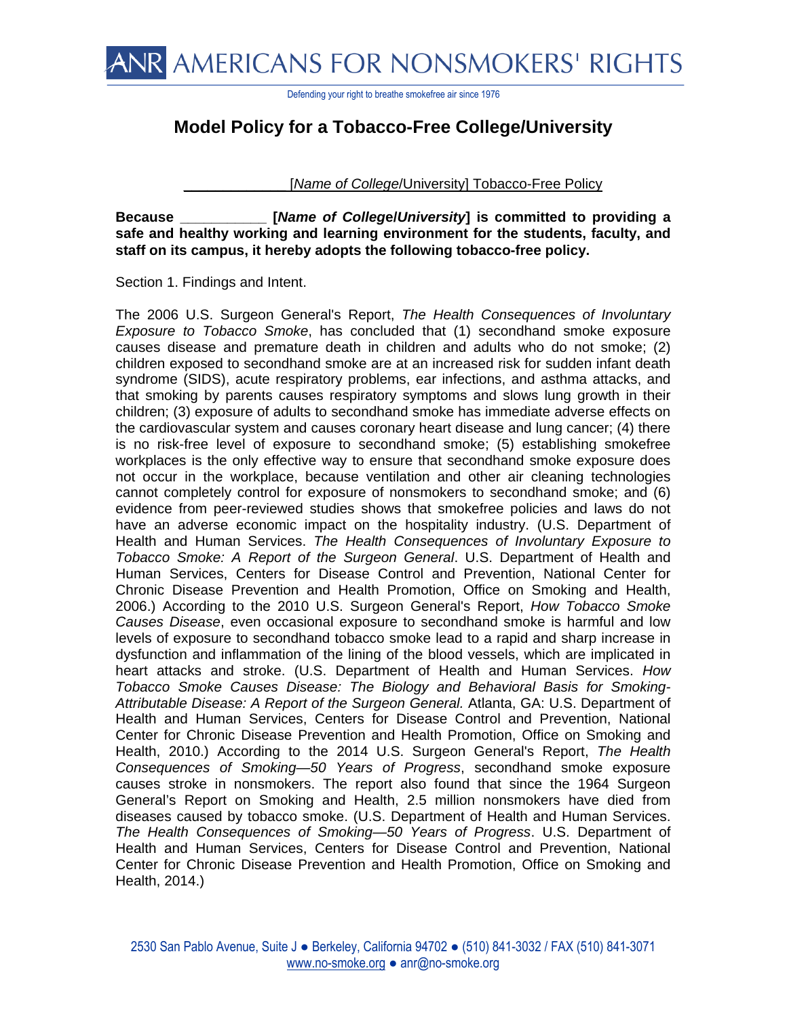

Defending your right to breathe smokefree air since 1976

## **Model Policy for a Tobacco-Free College/University**

[*Name of College*/University] Tobacco-Free Policy

**Because \_\_\_\_\_\_\_\_\_\_\_ [***Name of Colleg***e/***University***] is committed to providing a safe and healthy working and learning environment for the students, faculty, and staff on its campus, it hereby adopts the following tobacco-free policy.**

Section 1. Findings and Intent.

The 2006 U.S. Surgeon General's Report, *The Health Consequences of Involuntary Exposure to Tobacco Smoke*, has concluded that (1) secondhand smoke exposure causes disease and premature death in children and adults who do not smoke; (2) children exposed to secondhand smoke are at an increased risk for sudden infant death syndrome (SIDS), acute respiratory problems, ear infections, and asthma attacks, and that smoking by parents causes respiratory symptoms and slows lung growth in their children; (3) exposure of adults to secondhand smoke has immediate adverse effects on the cardiovascular system and causes coronary heart disease and lung cancer; (4) there is no risk-free level of exposure to secondhand smoke; (5) establishing smokefree workplaces is the only effective way to ensure that secondhand smoke exposure does not occur in the workplace, because ventilation and other air cleaning technologies cannot completely control for exposure of nonsmokers to secondhand smoke; and (6) evidence from peer-reviewed studies shows that smokefree policies and laws do not have an adverse economic impact on the hospitality industry. (U.S. Department of Health and Human Services. *The Health Consequences of Involuntary Exposure to Tobacco Smoke: A Report of the Surgeon General*. U.S. Department of Health and Human Services, Centers for Disease Control and Prevention, National Center for Chronic Disease Prevention and Health Promotion, Office on Smoking and Health, 2006.) According to the 2010 U.S. Surgeon General's Report, *How Tobacco Smoke Causes Disease*, even occasional exposure to secondhand smoke is harmful and low levels of exposure to secondhand tobacco smoke lead to a rapid and sharp increase in dysfunction and inflammation of the lining of the blood vessels, which are implicated in heart attacks and stroke. (U.S. Department of Health and Human Services. *How Tobacco Smoke Causes Disease: The Biology and Behavioral Basis for Smoking-Attributable Disease: A Report of the Surgeon General.* Atlanta, GA: U.S. Department of Health and Human Services, Centers for Disease Control and Prevention, National Center for Chronic Disease Prevention and Health Promotion, Office on Smoking and Health, 2010.) According to the 2014 U.S. Surgeon General's Report, *The Health Consequences of Smoking—50 Years of Progress*, secondhand smoke exposure causes stroke in nonsmokers. The report also found that since the 1964 Surgeon General's Report on Smoking and Health, 2.5 million nonsmokers have died from diseases caused by tobacco smoke. (U.S. Department of Health and Human Services. *The Health Consequences of Smoking—50 Years of Progress*. U.S. Department of Health and Human Services, Centers for Disease Control and Prevention, National Center for Chronic Disease Prevention and Health Promotion, Office on Smoking and Health, 2014.)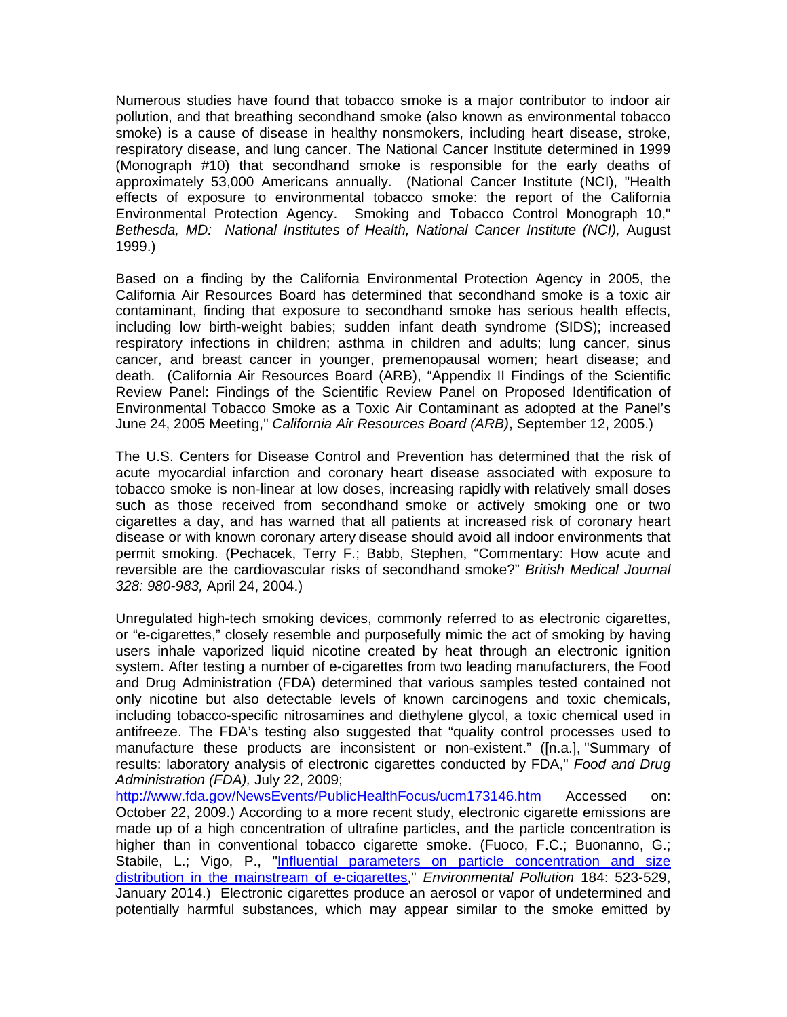Numerous studies have found that tobacco smoke is a major contributor to indoor air pollution, and that breathing secondhand smoke (also known as environmental tobacco smoke) is a cause of disease in healthy nonsmokers, including heart disease, stroke, respiratory disease, and lung cancer. The National Cancer Institute determined in 1999 (Monograph #10) that secondhand smoke is responsible for the early deaths of approximately 53,000 Americans annually. (National Cancer Institute (NCI), "Health effects of exposure to environmental tobacco smoke: the report of the California Environmental Protection Agency. Smoking and Tobacco Control Monograph 10," Bethesda, MD: National Institutes of Health, National Cancer Institute (NCI), August 1999.)

Based on a finding by the California Environmental Protection Agency in 2005, the California Air Resources Board has determined that secondhand smoke is a toxic air contaminant, finding that exposure to secondhand smoke has serious health effects, including low birth-weight babies; sudden infant death syndrome (SIDS); increased respiratory infections in children; asthma in children and adults; lung cancer, sinus cancer, and breast cancer in younger, premenopausal women; heart disease; and death. (California Air Resources Board (ARB), "Appendix II Findings of the Scientific Review Panel: Findings of the Scientific Review Panel on Proposed Identification of Environmental Tobacco Smoke as a Toxic Air Contaminant as adopted at the Panel's June 24, 2005 Meeting," *California Air Resources Board (ARB)*, September 12, 2005.)

The U.S. Centers for Disease Control and Prevention has determined that the risk of acute myocardial infarction and coronary heart disease associated with exposure to tobacco smoke is non-linear at low doses, increasing rapidly with relatively small doses such as those received from secondhand smoke or actively smoking one or two cigarettes a day, and has warned that all patients at increased risk of coronary heart disease or with known coronary artery disease should avoid all indoor environments that permit smoking. (Pechacek, Terry F.; Babb, Stephen, "Commentary: How acute and reversible are the cardiovascular risks of secondhand smoke?" *British Medical Journal 328: 980-983,* April 24, 2004.)

Unregulated high-tech smoking devices, commonly referred to as electronic cigarettes, or "e-cigarettes," closely resemble and purposefully mimic the act of smoking by having users inhale vaporized liquid nicotine created by heat through an electronic ignition system. After testing a number of e-cigarettes from two leading manufacturers, the Food and Drug Administration (FDA) determined that various samples tested contained not only nicotine but also detectable levels of known carcinogens and toxic chemicals, including tobacco-specific nitrosamines and diethylene glycol, a toxic chemical used in antifreeze. The FDA's testing also suggested that "quality control processes used to manufacture these products are inconsistent or non-existent." ([n.a.], "Summary of results: laboratory analysis of electronic cigarettes conducted by FDA," *Food and Drug Administration (FDA),* July 22, 2009;

http://www.fda.gov/NewsEvents/PublicHealthFocus/ucm173146.htm Accessed on: October 22, 2009.) According to a more recent study, electronic cigarette emissions are made up of a high concentration of ultrafine particles, and the particle concentration is higher than in conventional tobacco cigarette smoke. (Fuoco, F.C.; Buonanno, G.; Stabile, L.; Vigo, P., "Influential parameters on particle concentration and size distribution in the mainstream of e-cigarettes," *Environmental Pollution* 184: 523-529, January 2014.) Electronic cigarettes produce an aerosol or vapor of undetermined and potentially harmful substances, which may appear similar to the smoke emitted by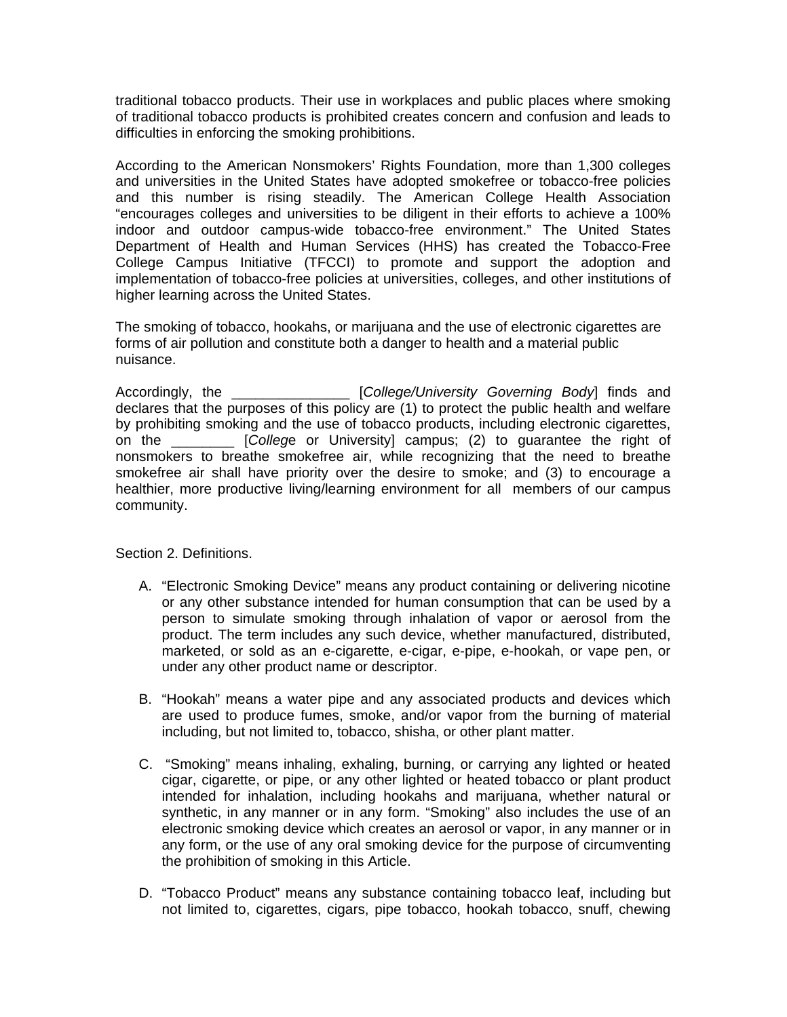traditional tobacco products. Their use in workplaces and public places where smoking of traditional tobacco products is prohibited creates concern and confusion and leads to difficulties in enforcing the smoking prohibitions.

According to the American Nonsmokers' Rights Foundation, more than 1,300 colleges and universities in the United States have adopted smokefree or tobacco-free policies and this number is rising steadily. The American College Health Association "encourages colleges and universities to be diligent in their efforts to achieve a 100% indoor and outdoor campus-wide tobacco-free environment." The United States Department of Health and Human Services (HHS) has created the Tobacco-Free College Campus Initiative (TFCCI) to promote and support the adoption and implementation of tobacco-free policies at universities, colleges, and other institutions of higher learning across the United States.

The smoking of tobacco, hookahs, or marijuana and the use of electronic cigarettes are forms of air pollution and constitute both a danger to health and a material public nuisance.

Accordingly, the **Exercise Setup College/University Governing Body**] finds and declares that the purposes of this policy are (1) to protect the public health and welfare by prohibiting smoking and the use of tobacco products, including electronic cigarettes, on the \_\_\_\_\_\_\_\_ [*Colleg*e or University] campus; (2) to guarantee the right of nonsmokers to breathe smokefree air, while recognizing that the need to breathe smokefree air shall have priority over the desire to smoke; and (3) to encourage a healthier, more productive living/learning environment for all members of our campus community.

Section 2. Definitions.

- A. "Electronic Smoking Device" means any product containing or delivering nicotine or any other substance intended for human consumption that can be used by a person to simulate smoking through inhalation of vapor or aerosol from the product. The term includes any such device, whether manufactured, distributed, marketed, or sold as an e-cigarette, e-cigar, e-pipe, e-hookah, or vape pen, or under any other product name or descriptor.
- B. "Hookah" means a water pipe and any associated products and devices which are used to produce fumes, smoke, and/or vapor from the burning of material including, but not limited to, tobacco, shisha, or other plant matter.
- C. "Smoking" means inhaling, exhaling, burning, or carrying any lighted or heated cigar, cigarette, or pipe, or any other lighted or heated tobacco or plant product intended for inhalation, including hookahs and marijuana, whether natural or synthetic, in any manner or in any form. "Smoking" also includes the use of an electronic smoking device which creates an aerosol or vapor, in any manner or in any form, or the use of any oral smoking device for the purpose of circumventing the prohibition of smoking in this Article.
- D. "Tobacco Product" means any substance containing tobacco leaf, including but not limited to, cigarettes, cigars, pipe tobacco, hookah tobacco, snuff, chewing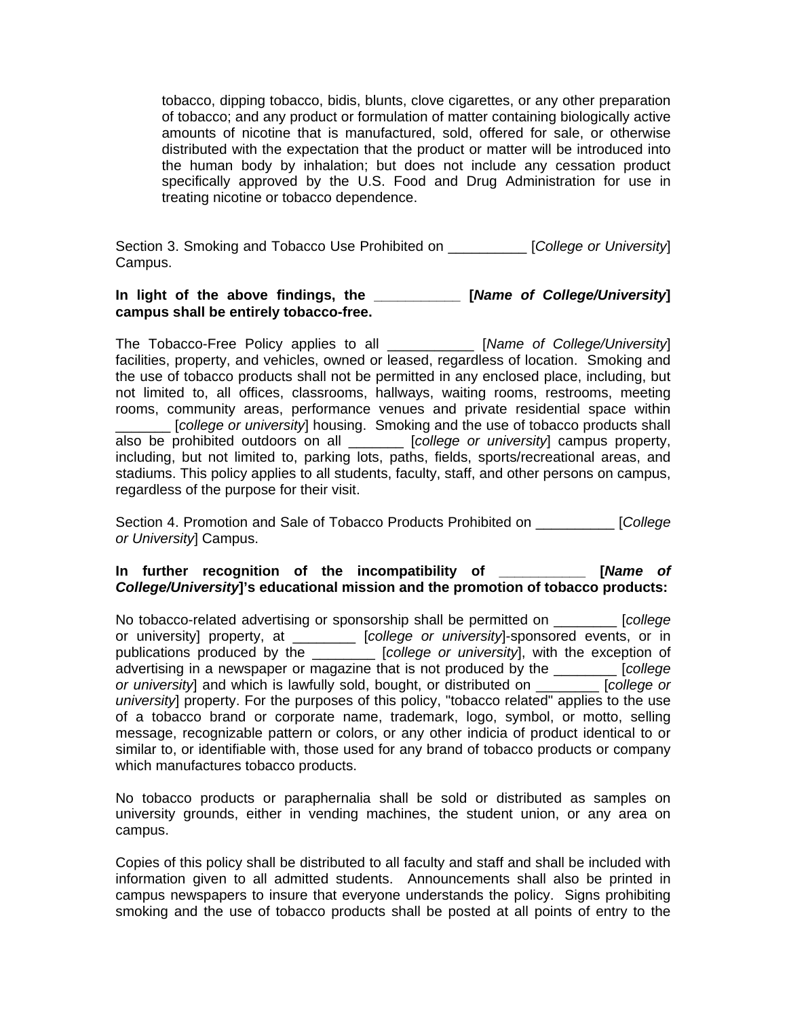tobacco, dipping tobacco, bidis, blunts, clove cigarettes, or any other preparation of tobacco; and any product or formulation of matter containing biologically active amounts of nicotine that is manufactured, sold, offered for sale, or otherwise distributed with the expectation that the product or matter will be introduced into the human body by inhalation; but does not include any cessation product specifically approved by the U.S. Food and Drug Administration for use in treating nicotine or tobacco dependence.

Section 3. Smoking and Tobacco Use Prohibited on \_\_\_\_\_\_\_\_\_\_ [*College or University*] Campus.

## **In light of the above findings, the \_\_\_\_\_\_\_\_\_\_\_ [***Name of College/University***] campus shall be entirely tobacco-free.**

The Tobacco-Free Policy applies to all \_\_\_\_\_\_\_\_\_\_\_ [*Name of College/University*] facilities, property, and vehicles, owned or leased, regardless of location. Smoking and the use of tobacco products shall not be permitted in any enclosed place, including, but not limited to, all offices, classrooms, hallways, waiting rooms, restrooms, meeting rooms, community areas, performance venues and private residential space within \_\_\_\_\_\_\_ [*college or university*] housing. Smoking and the use of tobacco products shall also be prohibited outdoors on all \_\_\_\_\_\_\_ [*college or university*] campus property, including, but not limited to, parking lots, paths, fields, sports/recreational areas, and stadiums. This policy applies to all students, faculty, staff, and other persons on campus, regardless of the purpose for their visit.

Section 4. Promotion and Sale of Tobacco Products Prohibited on \_\_\_\_\_\_\_\_\_\_ [*College or University*] Campus.

## **In further recognition of the incompatibility of \_\_\_\_\_\_\_\_\_\_\_ [***Name of College/University***]'s educational mission and the promotion of tobacco products:**

No tobacco-related advertising or sponsorship shall be permitted on \_\_\_\_\_\_\_\_ [*college*  or university] property, at \_\_\_\_\_\_\_\_ [*college or university*]-sponsored events, or in publications produced by the \_\_\_\_\_\_\_\_ [*college or university*], with the exception of advertising in a newspaper or magazine that is not produced by the \_\_\_\_\_\_\_\_ [*college or university*] and which is lawfully sold, bought, or distributed on \_\_\_\_\_\_\_\_ [*college or university*] property. For the purposes of this policy, "tobacco related" applies to the use of a tobacco brand or corporate name, trademark, logo, symbol, or motto, selling message, recognizable pattern or colors, or any other indicia of product identical to or similar to, or identifiable with, those used for any brand of tobacco products or company which manufactures tobacco products.

No tobacco products or paraphernalia shall be sold or distributed as samples on university grounds, either in vending machines, the student union, or any area on campus.

Copies of this policy shall be distributed to all faculty and staff and shall be included with information given to all admitted students. Announcements shall also be printed in campus newspapers to insure that everyone understands the policy. Signs prohibiting smoking and the use of tobacco products shall be posted at all points of entry to the